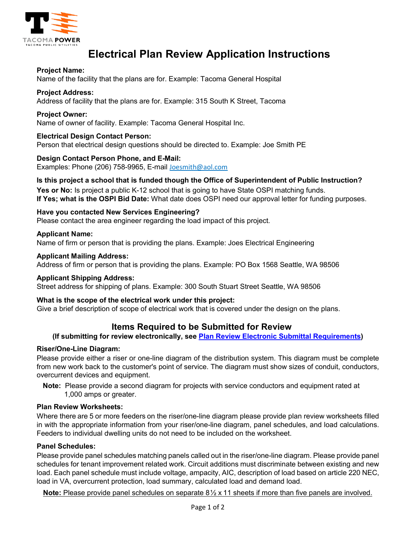

# **Electrical Plan Review Application Instructions**

# **Project Name:**

Name of the facility that the plans are for. Example: Tacoma General Hospital

# **Project Address:**

Address of facility that the plans are for. Example: 315 South K Street, Tacoma

#### **Project Owner:**

Name of owner of facility. Example: Tacoma General Hospital Inc.

# **Electrical Design Contact Person:**

Person that electrical design questions should be directed to. Example: Joe Smith PE

#### **Design Contact Person Phone, and E-Mail:**

Examples: Phone (206) 758-9965, E-mail Joesmith@aol.com

# **Is this project a school that is funded though the Office of Superintendent of Public Instruction?**

Yes or No: Is project a public K-12 school that is going to have State OSPI matching funds. **If Yes; what is the OSPI Bid Date:** What date does OSPI need our approval letter for funding purposes.

# **Have you contacted New Services Engineering?**

Please contact the area engineer regarding the load impact of this project.

#### **Applicant Name:**

Name of firm or person that is providing the plans. Example: Joes Electrical Engineering

#### **Applicant Mailing Address:**

Address of firm or person that is providing the plans. Example: PO Box 1568 Seattle, WA 98506

#### **Applicant Shipping Address:**

Street address for shipping of plans. Example: 300 South Stuart Street Seattle, WA 98506

#### **What is the scope of the electrical work under this project:**

Give a brief description of scope of electrical work that is covered under the design on the plans.

# **Items Required to be Submitted for Review**

### **(If submitting for review electronically, see [Plan Review Electronic Submittal Requirements\)](https://www.mytpu.org/wp-content/uploads/Electronic-File-Standard-04-15-2022-1.pdf)**

#### **Riser/One-Line Diagram:**

Please provide either a riser or one-line diagram of the distribution system. This diagram must be complete from new work back to the customer's point of service. The diagram must show sizes of conduit, conductors, overcurrent devices and equipment.

**Note:** Please provide a second diagram for projects with service conductors and equipment rated at 1,000 amps or greater.

#### **Plan Review Worksheets:**

Where there are 5 or more feeders on the riser/one-line diagram please provide plan review worksheets filled in with the appropriate information from your riser/one-line diagram, panel schedules, and load calculations. Feeders to individual dwelling units do not need to be included on the worksheet.

#### **Panel Schedules:**

Please provide panel schedules matching panels called out in the riser/one-line diagram. Please provide panel schedules for tenant improvement related work. Circuit additions must discriminate between existing and new load. Each panel schedule must include voltage, ampacity, AIC, description of load based on article 220 NEC, load in VA, overcurrent protection, load summary, calculated load and demand load.

**Note:** Please provide panel schedules on separate 8½ x 11 sheets if more than five panels are involved.